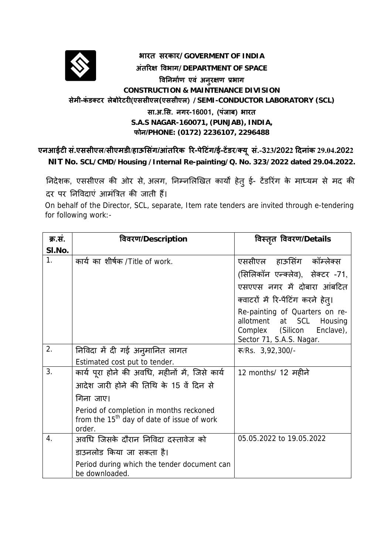

## **भारत सरकार/GOVERMENT OF INDIA अंतिरक्ष िवभाग/DEPARTMENT OF SPACE िविनमार्ण एवं अनुरक्षण प्रभाग CONSTRUCTION & MAINTENANCE DIVISION सेमी-कंडक्टर लेबोरेटरी(एससीएल(एससीएल) /SEMI-CONDUCTOR LABORATORY (SCL) सा.अ.िस. नगर-16001, (पंजाब) भारत S.A.S NAGAR-160071, (PUNJAB), INDIA, फोन/PHONE: (0172) 2236107, 2296488**

एनआईटी सं.एससीएल/सीएमडी/हाऊसिंग/आंतरिक रि-पेटिंग/ई-टेंडर/क्यू सं.-323/2022 दिनांक 29.04.2022 **NIT No. SCL/CMD/Housing /Internal Re-painting/Q. No. 323/2022 dated 29.04.2022.**

निदेशक, एससीएल की ओर से, अलग, निम्नलिखित कार्यों हेतु ई- टेंडरिंग के माध्यम से मद की दर पर निविदाएं आमंत्रित की जाती हैं।

 On behalf of the Director, SCL, separate, Item rate tenders are invited through e-tendering for following work:-

| क्र.स.           | विवरण/Description                                                                                           | विस्तृत विवरण/Details                                                                                                      |
|------------------|-------------------------------------------------------------------------------------------------------------|----------------------------------------------------------------------------------------------------------------------------|
| SI.No.           |                                                                                                             |                                                                                                                            |
| 1.               | कार्य का शीर्षक /Title of work.                                                                             | एससीएल हाऊसिंग कॉम्लेक्स                                                                                                   |
|                  |                                                                                                             | (सिलिकॉन एन्क्लेव), सेक्टर -71,                                                                                            |
|                  |                                                                                                             | एसएएस नगर में दोबारा आंबटित                                                                                                |
|                  |                                                                                                             | क्वाटरों में रि-पेंटिंग करने हेतु।                                                                                         |
|                  |                                                                                                             | Re-painting of Quarters on re-<br>allotment at SCL<br>Housing<br>Complex (Silicon<br>Enclave),<br>Sector 71, S.A.S. Nagar. |
| 2.               | निविदा में दी गई अनुमानित लागत                                                                              | $\mathcal{F}/\mathsf{Rs.}$ 3,92,300/-                                                                                      |
|                  | Estimated cost put to tender.                                                                               |                                                                                                                            |
| 3.               | कार्य पूरा होने की अवधि, महीनों में, जिसे कार्य                                                             | 12 months/ 12 महीने                                                                                                        |
|                  | आदेश जारी होने की तिथि के 15 वें दिन से                                                                     |                                                                                                                            |
|                  | गिना जाए।                                                                                                   |                                                                                                                            |
|                  | Period of completion in months reckoned<br>from the 15 <sup>th</sup> day of date of issue of work<br>order. |                                                                                                                            |
| $\overline{4}$ . | अवधि जिसके दौरान निविदा दस्तावेज को                                                                         | 05.05.2022 to 19.05.2022                                                                                                   |
|                  | डाउनलोड किया जा सकता है।                                                                                    |                                                                                                                            |
|                  | Period during which the tender document can<br>be downloaded.                                               |                                                                                                                            |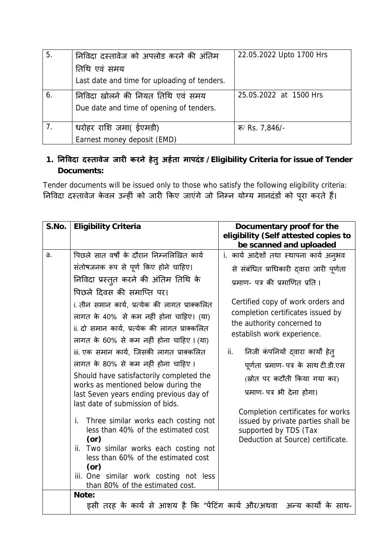| 5. | निविदा दस्तावेज को अपलोड करने की अंतिम       | 22.05.2022 Upto 1700 Hrs              |
|----|----------------------------------------------|---------------------------------------|
|    | तिथि एवं समय                                 |                                       |
|    | Last date and time for uploading of tenders. |                                       |
| 6. | निविदा खोलने की नियत तिथि एवं समय            | 25.05.2022 at 1500 Hrs                |
|    | Due date and time of opening of tenders.     |                                       |
|    | धरोहर राशि जमा( ईएमडी)                       | $\overline{\mathbf{S}}$ / Rs. 7,846/- |
|    | Earnest money deposit (EMD)                  |                                       |

## **1. िनिवदा दèतावेज जारी करने हेतुअहर्ता मापदंड /Eligibility Criteria for issue of Tender Documents:**

Tender documents will be issued only to those who satisfy the following eligibility criteria: निविदा दस्तावेज केवल उन्हीं को जारी किए जाएगे जो निम्न योग्य मानदंडो को पूरा करते हैं।

| S.No. | <b>Eligibility Criteria</b>                                                                                                                                                                                                                                                                                                                                                                                                                                                                                                                                                                                                                                                                           | Documentary proof for the<br>eligibility (Self attested copies to                                                                                                                                                                                                                                                                                                                                                                                                                                                                                                                          |
|-------|-------------------------------------------------------------------------------------------------------------------------------------------------------------------------------------------------------------------------------------------------------------------------------------------------------------------------------------------------------------------------------------------------------------------------------------------------------------------------------------------------------------------------------------------------------------------------------------------------------------------------------------------------------------------------------------------------------|--------------------------------------------------------------------------------------------------------------------------------------------------------------------------------------------------------------------------------------------------------------------------------------------------------------------------------------------------------------------------------------------------------------------------------------------------------------------------------------------------------------------------------------------------------------------------------------------|
| a.    | पिछले सात वर्षों के दौरान निम्नलिखित कार्य<br>संतोषजनक रूप से पूर्ण किए होने चाहिए।<br>निविदा प्रस्तुत करने की अंतिम तिथि के<br>पिछले दिवस की समाप्ति पर।<br>i. तीन समान कार्य, प्रत्येक की लागत प्राक्कलित<br>लागत के 40% से कम नहीं होना चाहिए। (या)<br>ii. दो समान कार्य, प्रत्येक की लागत प्राक्कलित<br>लागत के 60% से कम नहीं होना चाहिए। (या)<br>iii. एक समान कार्य, जिसकी लागत प्राक्कलित<br>लागत के 80% से कम नहीं होना चाहिए।<br>Should have satisfactorily completed the<br>works as mentioned below during the<br>last Seven years ending previous day of<br>last date of submission of bids.<br>Three similar works each costing not<br>i.<br>less than 40% of the estimated cost<br>(or) | be scanned and uploaded<br>i. कार्य आदेशों तथा स्थापना कार्य अन् <b>भव</b><br>से संबंधित प्राधिकारी दवारा जारी पूर्णता<br>प्रमाण- पत्र की प्रमाणित प्रति ।<br>Certified copy of work orders and<br>completion certificates issued by<br>the authority concerned to<br>establish work experience.<br>निजी कंपनियों दवारा कार्यों हेत्<br>ii.<br>पूर्णता प्रमाण- पत्र के साथ टी.डी.एस<br>(स्रोत पर कटौती किया गया कर)<br>प्रमाण- पत्र भी देना होगा।<br>Completion certificates for works<br>issued by private parties shall be<br>supported by TDS (Tax<br>Deduction at Source) certificate. |
|       | ii. Two similar works each costing not<br>less than 60% of the estimated cost<br>(or)<br>iii. One similar work costing not less<br>than 80% of the estimated cost.                                                                                                                                                                                                                                                                                                                                                                                                                                                                                                                                    |                                                                                                                                                                                                                                                                                                                                                                                                                                                                                                                                                                                            |
|       | Note:                                                                                                                                                                                                                                                                                                                                                                                                                                                                                                                                                                                                                                                                                                 | इसी तरह के कार्य से आशय है कि "पेंटिंग कार्य और/अथवा  अन्य कार्यों के साथ-                                                                                                                                                                                                                                                                                                                                                                                                                                                                                                                 |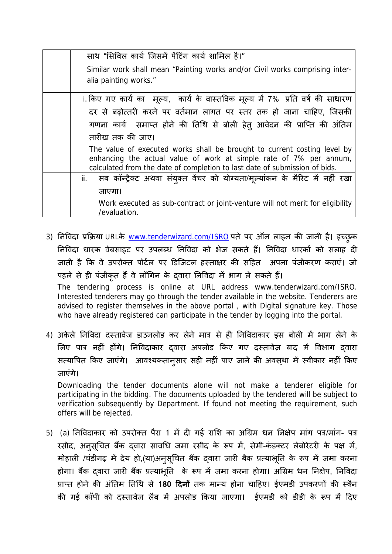| साथ "सिविल कार्य जिसमें पेंटिंग कार्य शामिल है।"                                                                                                                                                                             |
|------------------------------------------------------------------------------------------------------------------------------------------------------------------------------------------------------------------------------|
| Similar work shall mean "Painting works and/or Civil works comprising inter-                                                                                                                                                 |
| alia painting works."                                                                                                                                                                                                        |
| i. किए गए कार्य का मूल्य, कार्य के वास्तविक मूल्य में 7% प्रति वर्ष की साधारण                                                                                                                                                |
| दर से बढ़ोत्तरी करने पर वर्तमान लागत पर स्तर तक हो जाना चाहिए, जिसकी                                                                                                                                                         |
| गणना कार्य  समाप्त होने की तिथि से बोली हेत् आवेदन की प्राप्ति की अंतिम                                                                                                                                                      |
| तारीख तक की जाए।                                                                                                                                                                                                             |
| The value of executed works shall be brought to current costing level by<br>enhancing the actual value of work at simple rate of 7% per annum,<br>calculated from the date of completion to last date of submission of bids. |
| सब कॉन्ट्रैक्ट अथवा संयुक्त वेंचर को योग्यता/मूल्यांकन के मैरिट में नहीं रखा<br>ii.                                                                                                                                          |
| जाएगा।                                                                                                                                                                                                                       |
| Work executed as sub-contract or joint-venture will not merit for eligibility<br>/evaluation.                                                                                                                                |

- 3) निविदा प्रक्रिया URLके www.tenderwizard.com/ISRO पते पर ऑन लाइन की जानी है। इच्छुक निविदा धारक वेबसाइट पर उपलब्ध निविदा को भेज सकते हैं। निविदा धारकों को सलाह दी जाती है कि वे उपरोक्त पोर्टल पर डिजिटल हस्ताक्षर की सहित अपना पंजीकरण कराएं। जो पहले से ही पंजीकृत हैं वे लॉगिन के दवारा निविदा में भाग ले सकते हैं। The tendering process is online at URL address www.tenderwizard.com/ISRO. Interested tenderers may go through the tender available in the website. Tenderers are advised to register themselves in the above portal , with Digital signature key. Those who have already registered can participate in the tender by logging into the portal.
- 4) अकेले निविदा दस्तावेज डाउनलोड कर लेने मात्र से ही निविदाकार इस बोली में भाग लेने के लिए पात्र नहीं होंगे। निविदाकार दवारा अपलोड किए गए दस्तावेज़ बाद में विभाग दवारा सत्यापित किए जाएंगे। आवश्यकतानुसार सही नहीं पाए जाने की अवस्था में स्वीकार नहीं किए जाएंगे।

Downloading the tender documents alone will not make a tenderer eligible for participating in the bidding. The documents uploaded by the tendered will be subject to verification subsequently by Department. If found not meeting the requirement, such offers will be rejected.

5) (a) निविदाकार को उपरोक्त पैरा 1 में दी गई राशि का अग्रिम धन निक्षेप मांग पत्र/मांग- पत्र रसीद, अनुसूचित बैंक द्वारा सावधि जमा रसीद के रूप मे, सेमी-कडक्टर लेबोरेटरी के पक्ष मे, मोहाली /चडीगढ़ में देय हो,(या)अनुसूचित बैंक द्वारा जारी बैंक प्रत्याभूति के रूप में जमा करना होगा। बैंक दवारा जारी बैंक प्रत्याभूति के रूप में जमा करना होगा। अग्रिम धन निक्षेप, निविदा प्राप्त होने की अंतिम तिथि से **180 दिनों** तक मान्य होना चाहिए। ईएमडी उपकरणों की स्कैन की गई कॉपी को दस्तावेज लैब में अपलोड किया जाएगा। ईएमडी को डीडी के रूप में दिए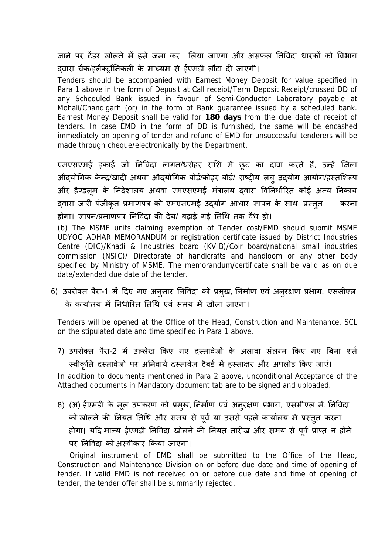जाने पर टेंडर खोलने में डसे जमा कर लिया जाएगा और असफल निविदा धारकों को विभाग दवारा चैक/इलैक्ट्रॉनिकली के माध्यम से ईएमडी लौटा दी जाएगी।

Tenders should be accompanied with Earnest Money Deposit for value specified in Para 1 above in the form of Deposit at Call receipt/Term Deposit Receipt/crossed DD of any Scheduled Bank issued in favour of Semi-Conductor Laboratory payable at Mohali/Chandigarh (or) in the form of Bank guarantee issued by a scheduled bank. Earnest Money Deposit shall be valid for **180 days** from the due date of receipt of tenders. In case EMD in the form of DD is furnished, the same will be encashed immediately on opening of tender and refund of EMD for unsuccessful tenderers will be made through cheque/electronically by the Department.

एमएसएमई इकाई जो निविदा लागत/धरोहर राशि में छूट का दावा करते हैं, उन्हें जिला औद्योगिक केन्द्र/खादी अथवा औद्योगिक बोडे/कोइर बोडे/ राष्ट्रीय लघु उद्योग आयोग/हस्तशिल्प और हैण्डल़म के निदेशालय अथवा एमएसएमई मंत्रालय दवारा विनिर्धारित कोई अन्य निकाय दवारा जारी पंजीकृत प्रमाणपत्र को एमएसएमई उद्योग आधार ज्ञापन के साथ प्रस्तुत ुकरना होगा। ज्ञापन/प्रमाणपत्र िनिवदा की देय/ बढ़ाई गई ितिथ तक वैध हो।

(b) The MSME units claiming exemption of Tender cost/EMD should submit MSME UDYOG ADHAR MEMORANDUM or registration certificate issued by District Industries Centre (DIC)/Khadi & Industries board (KVIB)/Coir board/national small industries commission (NSIC)/ Directorate of handicrafts and handloom or any other body specified by Ministry of MSME. The memorandum/certificate shall be valid as on due date/extended due date of the tender.

6) उपरोक्त पैरा-1 में दिए गए अनुसार निविदा को प्रमुख, निर्माण एवं अनुरक्षण प्रभाग, एससीएल के कार्यालय में निर्धारित तिथि एवं समय में खोला जाएगा।

Tenders will be opened at the Office of the Head, Construction and Maintenance, SCL on the stipulated date and time specified in Para 1 above.

- 7) उपरोक्त पैरा-2 में उल्लेख किए गए दस्तावेजों के अलावा संलग्न किए गए बिना शर्त स्वीकृति दस्तावेजों पर अनिवार्य दस्तावेज़ टैबर्ड में हस्ताक्षर और अपलोड किए जाएं। In addition to documents mentioned in Para 2 above, unconditional Acceptance of the Attached documents in Mandatory document tab are to be signed and uploaded.
- 8) (अ) ईएमडी के मूल उपकरण को प्रमुख, निर्माण एवं अनुरक्षण प्रभाग, एससीएल में, निविदा को खोलने की नियत तिथि और समय से पूर्व या उससे पहले कार्यालय में प्रस्तुत करना होगा। यदि मान्य ईएमडी निर्विदा खोलने की नियत तारीख और समय से पूर्व प्राप्त न होने पर निविटा को अस्वीकार किया जाएगा।

 Original instrument of EMD shall be submitted to the Office of the Head, Construction and Maintenance Division on or before due date and time of opening of tender. If valid EMD is not received on or before due date and time of opening of tender, the tender offer shall be summarily rejected.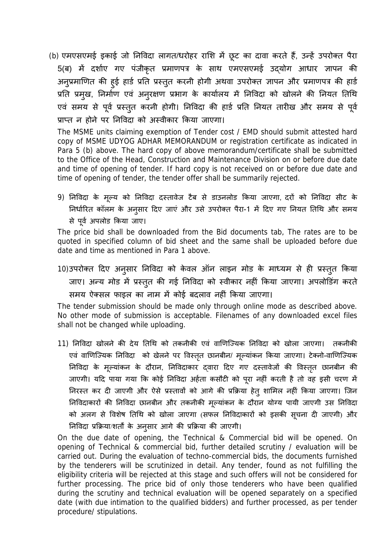(b) एमएसएमई इकाई जो निविदा लागत/धरोहर राशि में छूट का दावा करते हैं, उन्हें उपरोक्त पैरा 5(ब) में दर्शाए गए पंजीकृत प्रमाणपत्र के साथ एमएसएमई उद्योग आधार ज्ञापन की अनुप्रमाणित की हुई हार्ड प्रति प्रस्तुत करनी होगी अथवा उपरोक्त ज्ञापन और प्रमाणपत्र की हार्ड प्रति प्रमुख, निर्माण एव अनुरक्षण प्रभाग के कार्यालय में निर्विदा को खोलने की नियत तिथि एव समय से पूर्व प्रस्तुत करनी होगी। निर्विदा की हार्ड प्रति नियत तारीख और समय से पूर्व प्राप्त न होने पर निविदा को अस्वीकार किया जाएगा।

The MSME units claiming exemption of Tender cost / EMD should submit attested hard copy of MSME UDYOG ADHAR MEMORANDUM or registration certificate as indicated in Para 5 (b) above. The hard copy of above memorandum/certificate shall be submitted to the Office of the Head, Construction and Maintenance Division on or before due date and time of opening of tender. If hard copy is not received on or before due date and time of opening of tender, the tender offer shall be summarily rejected.

9) निविदा के मूल्य को निविदा दस्तावेज टैब से डाउनलोड किया जाएगा, दरों को निविदा सीट के निर्धारित कॉलम के अनुसार दिए जाएं और उसे उपरोक्त पैरा-1 में दिए गए नियत तिथि और समय से पूर्व अपलोड किया जाए।

The price bid shall be downloaded from the Bid documents tab, The rates are to be quoted in specified column of bid sheet and the same shall be uploaded before due date and time as mentioned in Para 1 above.

10)उपरोक्त दिए अनुसार निविदा को केवल ऑन लाइन मोड के माध्यम से ही प्रस्तुत किया जाए। अन्य मोड में प्रस्तुत की गई निविदा को स्वीकार नहीं किया जाएगा। अपलोडिंग करते समय ऐक्सल फाइल का नाम में कोई बदलाव नहीं किया जाएगा।

The tender submission should be made only through online mode as described above. No other mode of submission is acceptable. Filenames of any downloaded excel files shall not be changed while uploading.

11) िनिवदा खोलने की देय ितिथ को तकनीकी एवं वािणिÏयक िनिवदा को खोला जाएगा। तकनीकी एव वाणिज्यिक निविदा को खेलने पर विस्तृत छानबीन/ मूल्याकन किया जाएगा। टेक्नो-वाणिज्यिक निविदा के मूल्यांकन के दौरान, निविदाकार द्वारा दिए गए दस्तावेजों की विस्तृत छानबीन की जाएगी। यदि पाया गया कि कोई निविदा अहेता कसौटी को पूरा नहीं करती है तो वह इसी चरण मे निरस्त कर दी जाएगी और ऐसे प्रस्तावों को आगे की प्रक्रिया हेत् शामिल नहीं किया जाएगा। जिन निविदाकारों की निविदा छानबीन और तकनीकी मूल्याकन के दौरान योग्य पायी जाएगी उस निविदा को अलग से विशेष तिथि को खोला जाएगा (सफल निविदाकारों को इसकी सूचना दी जाएगी) और निविदा प्रक्रिया/शर्तों के अनुसार आगे की प्रक्रिया की जाएगी।

On the due date of opening, the Technical & Commercial bid will be opened. On opening of Technical & commercial bid, further detailed scrutiny / evaluation will be carried out. During the evaluation of techno-commercial bids, the documents furnished by the tenderers will be scrutinized in detail. Any tender, found as not fulfilling the eligibility criteria will be rejected at this stage and such offers will not be considered for further processing. The price bid of only those tenderers who have been qualified during the scrutiny and technical evaluation will be opened separately on a specified date (with due intimation to the qualified bidders) and further processed, as per tender procedure/ stipulations.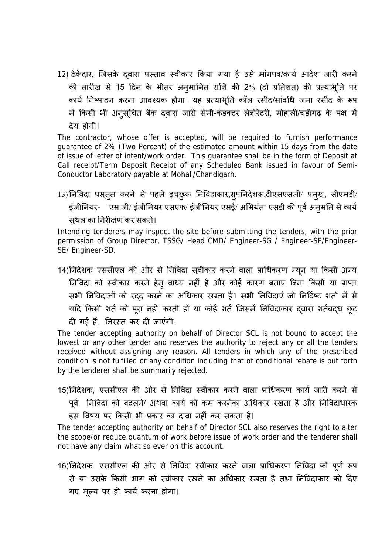12) ठेकेदार, जिसके दवारा प्रस्ताव स्वीकार किया गया है उसे मांगपत्र/कार्य आदेश जारी करने की तारीख से 15 दिन के भीतर अनुमानित राशि की 2% (दो प्रतिशत) की प्रत्याभूति पर कार्य निष्पादन करना आवश्यक होगा। यह प्रत्याभूति कॉल रसीद/सांवधि जमा रसीद के रूप में किसी भी अनुसूचित बैक द्वारा जारी सेमी-कंडक्टर लेबोरेटरी, मोहाली/चंडीगढ़ के पक्ष में देय होगी।

The contractor, whose offer is accepted, will be required to furnish performance guarantee of 2% (Two Percent) of the estimated amount within 15 days from the date of issue of letter of intent/work order. This guarantee shall be in the form of Deposit at Call receipt/Term Deposit Receipt of any Scheduled Bank issued in favour of Semi-Conductor Laboratory payable at Mohali/Chandigarh.

13)निविदा प्रस्तुत करने से पहले इच्छुक निविदाकार,ग्रुपनिदेशक,टीएसएसजी/ प्रमुख, सीएमडी/ इंजीनियर- एस.जी/ इंजीनियर एसएफ/ इंजीनियर एसई/ अभियंता एसडी की पूर्व अनुमति से कार्य सथल् का िनरीक्षण कर सकते।

Intending tenderers may inspect the site before submitting the tenders, with the prior permission of Group Director, TSSG/ Head CMD/ Engineer-SG / Engineer-SF/Engineer-SE/ Engineer-SD.

14)निदेशक एससीएल की ओर से निविदा स्**वीकार करने वाला प्राधिकरण न्यून या किसी** अन्य निविदा को स्वीकार करने हेतु बाध्य नहीं है और कोई कारण बताएं बिना किसी या प्राप्त सभी निविदाओं को रदद करने का अधिकार रखता है1 सभी निविदाएं जो निर्दिष्ट शतों में से यदि किसी शर्त को पूरा नहीं करती हो या कोई शर्त जिसमें निर्विदाकार द्वारा शर्तबद्ध छूट

दी गई हैं. निरस्त कर दी जाएंगी।

The tender accepting authority on behalf of Director SCL is not bound to accept the lowest or any other tender and reserves the authority to reject any or all the tenders received without assigning any reason. All tenders in which any of the prescribed condition is not fulfilled or any condition including that of conditional rebate is put forth by the tenderer shall be summarily rejected.

15) निदेशक, एससीएल की ओर से निविदा स्वीकार करने वाला प्राधिकरण कार्य जारी करने से

पूर्व निर्विदा को बदलने/ अथवा कार्य को कम करनेका अधिकार रखता है और निर्विदाधारक

इस विषय पर किसी भी प्रकार का दावा नहीं कर सकता है।

The tender accepting authority on behalf of Director SCL also reserves the right to alter the scope/or reduce quantum of work before issue of work order and the tenderer shall not have any claim what so ever on this account.

16)निदेशक, एससीएल की ओर से निविदा स्वीकार करने वाला प्राधिकरण निविदा को पूर्ण रूप से या उसके किसी भाग को स्वीकार रखने का अधिकार रखता है तथा निविदाकार को दिए गए मूल्य पर ही कार्य करना होगा।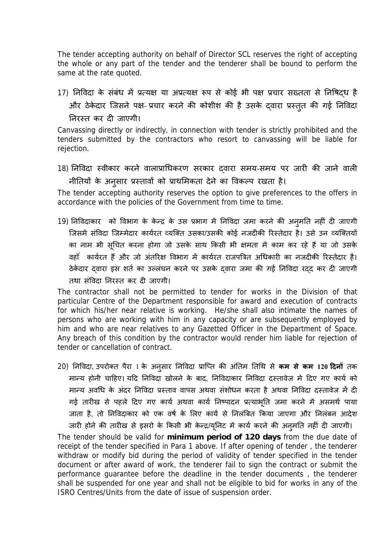The tender accepting authority on behalf of Director SCL reserves the right of accepting the whole or any part of the tender and the tenderer shall be bound to perform the same at the rate quoted.

17) निविदा के संबंध में प्रत्यक्ष या अप्रत्यक्ष रूप से कोई भी पक्ष प्रचार सख्तता से निषिद्ध है और ठेकेदार जिसने पक्ष- प्रचार करने की कोशीश की है उसके द्वारा प्रस्तुत की गई निविदा निरस्त कर दी जाएगी।

Canvassing directly or indirectly, in connection with tender is strictly prohibited and the tenders submitted by the contractors who resort to canvassing will be liable for rejection.

18) निविदा स्वीकार करने वालाप्राधिकरण सरकार दवारा समय-समय पर जारी की जाने वाली नीतियों के अनुसार प्रस्तावों को प्राथमिकता देने का विकल्प रखता है।

The tender accepting authority reserves the option to give preferences to the offers in accordance with the policies of the Government from time to time.

19) निविदाकार को विभाग के केन्द्र के उस प्रभाग में निविदा जमा करने की अनुमति नहीं दी जाएगी जिसमें संविदा जिम्मेदार कार्यरत व्यक्ति उसका/उसकी कोई नजदीकी रिस्तेदार है। उसे उन व्यक्तियों का नाम भी सूचित करना होगा जो उसके साथ किसी भी क्षमता में काम कर रहे हैं या जो उसके वहॉ कार्यरत हैं और जो अंतरिक्ष विभाग में कार्यरत राजपत्रित अधिकारी का नजदीकी रिस्तेदार है। ठेकेदार द्वारा इस शर्त का उल्लंघन करने पर उसके द्वारा जमा की गई निविदा रद्द कर दी जाएगी तथा संविदा निरस्त कर दी जाएगी।

The contractor shall not be permitted to tender for works in the Division of that particular Centre of the Department responsible for award and execution of contracts for which his/her near relative is working. He/she shall also intimate the names of persons who are working with him in any capacity or are subsequently employed by him and who are near relatives to any Gazetted Officer in the Department of Space. Any breach of this condition by the contractor would render him liable for rejection of tender or cancellation of contract.

20) निविदा, उपरोक्त पैरा 1 के अनुसार निविदा प्राप्ति की अंतिम तिथि से कम से कम 120 दिनों तक मान्य होनी चाहिए। यदि निविदा खोलने के बाद, निविदाकार निविदा दस्तावेज मे दिए गए कार्य को मान्य अवधि के अंदर निविदा प्रस्ताव वापस अथवा संशोधन करता है अथवा निविदा दस्तावेज में दी गई तारीख से पहले दिए गए कार्य अथवा कार्य निष्पादन प्रत्याभूति जमा करने में असमर्थ पाया जाता है, तो निविदाकार को एक वर्ष के लिए कार्य से निलंबित किया जाएगा और निलंबन आदेश जारी होने की तारीख से इसरों के किसी भी केन्द्र/यूनिट में कार्य करने की अनुमति नहीं दी जाएगी।

The tender should be valid for **minimum period of 120 days** from the due date of receipt of the tender specified in Para 1 above. If after opening of tender, the tenderer withdraw or modify bid during the period of validity of tender specified in the tender document or after award of work, the tenderer fail to sign the contract or submit the performance guarantee before the deadline in the tender documents , the tenderer shall be suspended for one year and shall not be eligible to bid for works in any of the ISRO Centres/Units from the date of issue of suspension order.